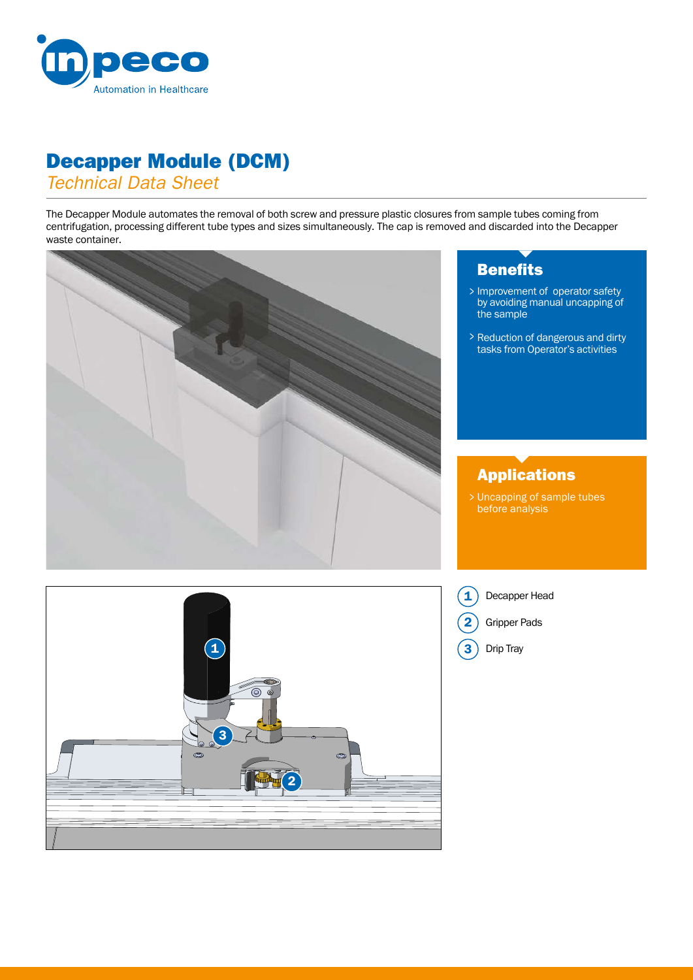

## Decapper Module (DCM)

*Technical Data Sheet*

The Decapper Module automates the removal of both screw and pressure plastic closures from sample tubes coming from centrifugation, processing different tube types and sizes simultaneously. The cap is removed and discarded into the Decapper waste container.



2

3